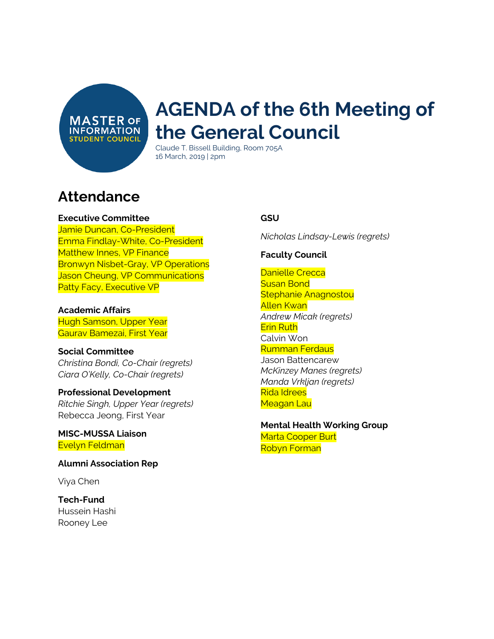**MASTER OF INFORMATION STUDENT COUNCIL** 

# **AGENDA of the 6th Meeting of the General Council**

Claude T. Bissell Building, Room 705A 16 March, 2019 | 2pm

## **Attendance**

#### **Executive Committee**

Jamie Duncan, Co-President Emma Findlay-White, Co-President Matthew Innes, VP Finance Bronwyn Nisbet-Gray, VP Operations Jason Cheung, VP Communications Patty Facy, Executive VP

#### **Academic Affairs**

Hugh Samson, Upper Year Gaurav Bamezai, First Year

#### **Social Committee**

*Christina Bondi, Co-Chair (regrets) Ciara O'Kelly, Co-Chair (regrets)*

#### **Professional Development** *Ritchie Singh, Upper Year (regrets)* Rebecca Jeong, First Year

**MISC-MUSSA Liaison** Evelyn Feldman

**Alumni Association Rep**

Viya Chen

#### **Tech-Fund** Hussein Hashi Rooney Lee

#### **GSU**

*Nicholas Lindsay-Lewis (regrets)*

#### **Faculty Council**

Danielle Crecca Susan Bond Stephanie Anagnostou Allen Kwan *Andrew Micak (regrets)* Erin Ruth Calvin Won Rumman Ferdaus Jason Battencarew *McKinzey Manes (regrets) Manda Vrkljan (regrets)* Rida Idrees Meagan Lau

**Mental Health Working Group** Marta Cooper Burt Robyn Forman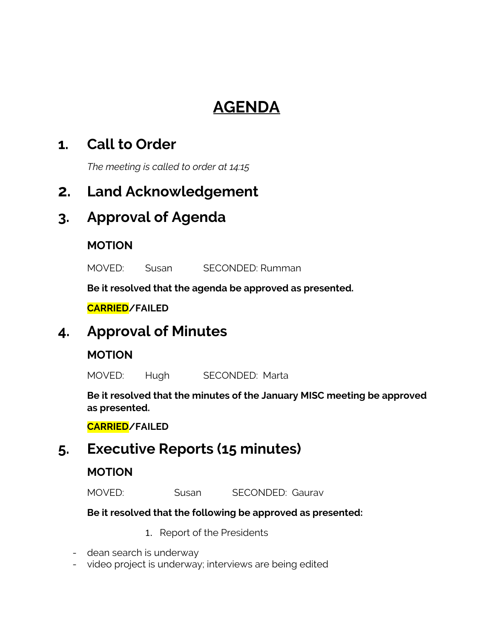# **AGENDA**

### **1. Call to Order**

*The meeting is called to order at 14:15*

### **2. Land Acknowledgement**

### **3. Approval of Agenda**

### **MOTION**

MOVED: Susan SECONDED: Rumman

**Be it resolved that the agenda be approved as presented.**

**CARRIED/FAILED**

### **4. Approval of Minutes**

### **MOTION**

MOVED: Hugh SECONDED: Marta

**Be it resolved that the minutes of the January MISC meeting be approved as presented.**

**CARRIED/FAILED**

## **5. Executive Reports (15 minutes)**

### **MOTION**

MOVED: Susan SECONDED: Gaurav

#### **Be it resolved that the following be approved as presented:**

- 1. Report of the Presidents
- dean search is underway
- video project is underway; interviews are being edited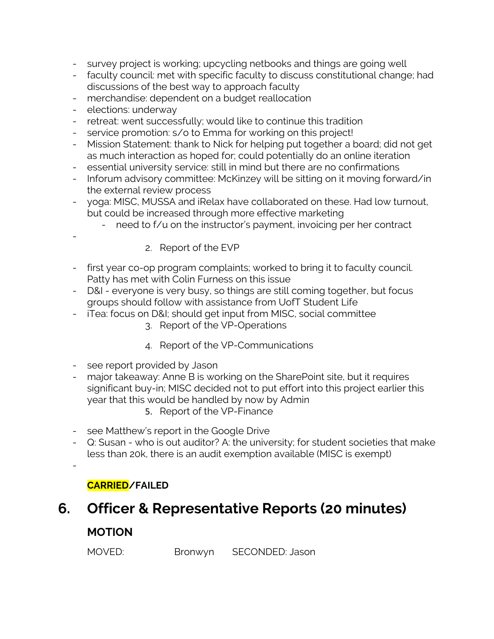- survey project is working; upcycling netbooks and things are going well
- faculty council: met with specific faculty to discuss constitutional change; had discussions of the best way to approach faculty
- merchandise: dependent on a budget reallocation
- elections: underway
- retreat: went successfully; would like to continue this tradition
- service promotion: s/o to Emma for working on this project!
- Mission Statement: thank to Nick for helping put together a board; did not get as much interaction as hoped for; could potentially do an online iteration
- essential university service: still in mind but there are no confirmations
- Inforum advisory committee: McKinzey will be sitting on it moving forward/in the external review process
- yoga: MISC, MUSSA and iRelax have collaborated on these. Had low turnout, but could be increased through more effective marketing
	- need to f/u on the instructor's payment, invoicing per her contract
		- 2. Report of the EVP
- first year co-op program complaints; worked to bring it to faculty council. Patty has met with Colin Furness on this issue
- D&I everyone is very busy, so things are still coming together, but focus groups should follow with assistance from UofT Student Life
- iTea: focus on D&I; should get input from MISC, social committee
	- 3. Report of the VP-Operations
	- 4. Report of the VP-Communications
- see report provided by Jason
- major takeaway: Anne B is working on the SharePoint site, but it requires significant buy-in; MISC decided not to put effort into this project earlier this year that this would be handled by now by Admin
	- 5. Report of the VP-Finance
- see Matthew's report in the Google Drive
- Q: Susan who is out auditor? A: the university; for student societies that make less than 20k, there is an audit exemption available (MISC is exempt)

-

-

#### **CARRIED/FAILED**

## **6. Officer & Representative Reports (20 minutes)**

### **MOTION**

MOVED: Bronwyn SECONDED: Jason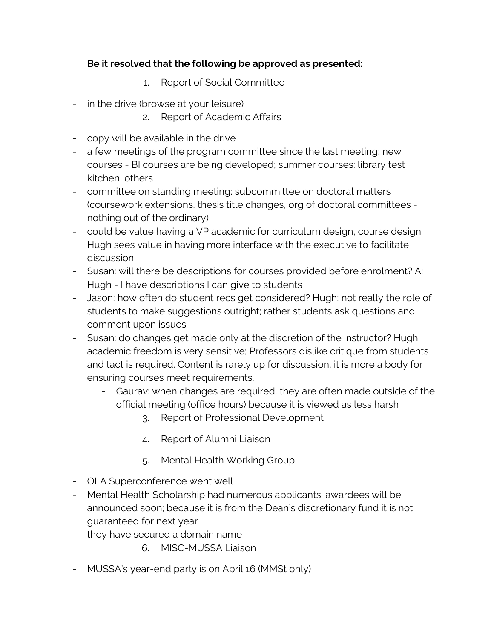#### **Be it resolved that the following be approved as presented:**

- 1. Report of Social Committee
- in the drive (browse at your leisure)
	- 2. Report of Academic Affairs
- copy will be available in the drive
- a few meetings of the program committee since the last meeting; new courses - BI courses are being developed; summer courses: library test kitchen, others
- committee on standing meeting: subcommittee on doctoral matters (coursework extensions, thesis title changes, org of doctoral committees nothing out of the ordinary)
- could be value having a VP academic for curriculum design, course design. Hugh sees value in having more interface with the executive to facilitate discussion
- Susan: will there be descriptions for courses provided before enrolment? A: Hugh - I have descriptions I can give to students
- Jason: how often do student recs get considered? Hugh: not really the role of students to make suggestions outright; rather students ask questions and comment upon issues
- Susan: do changes get made only at the discretion of the instructor? Hugh: academic freedom is very sensitive; Professors dislike critique from students and tact is required. Content is rarely up for discussion, it is more a body for ensuring courses meet requirements.
	- Gaurav: when changes are required, they are often made outside of the official meeting (office hours) because it is viewed as less harsh
		- 3. Report of Professional Development
		- 4. Report of Alumni Liaison
		- 5. Mental Health Working Group
- OLA Superconference went well
- Mental Health Scholarship had numerous applicants; awardees will be announced soon; because it is from the Dean's discretionary fund it is not guaranteed for next year
- they have secured a domain name
	- 6. MISC-MUSSA Liaison
- MUSSA's year-end party is on April 16 (MMSt only)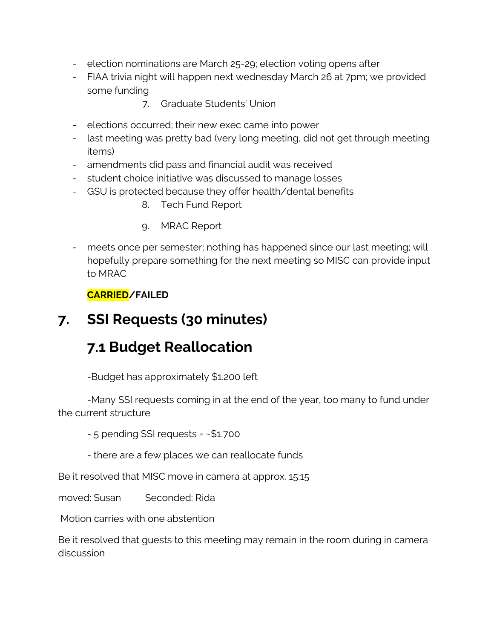- election nominations are March 25-29; election voting opens after
- FIAA trivia night will happen next wednesday March 26 at 7pm; we provided some funding
	- 7. Graduate Students' Union
- elections occurred; their new exec came into power
- last meeting was pretty bad (very long meeting, did not get through meeting items)
- amendments did pass and financial audit was received
- student choice initiative was discussed to manage losses
- GSU is protected because they offer health/dental benefits
	- 8. Tech Fund Report
	- 9. MRAC Report
- meets once per semester; nothing has happened since our last meeting; will hopefully prepare something for the next meeting so MISC can provide input to MRAC

#### **CARRIED/FAILED**

## **7. SSI Requests (30 minutes)**

### **7.1 Budget Reallocation**

-Budget has approximately \$1.200 left

-Many SSI requests coming in at the end of the year, too many to fund under the current structure

- 5 pending SSI requests = ~\$1,700

- there are a few places we can reallocate funds

Be it resolved that MISC move in camera at approx. 15:15

moved: Susan Seconded: Rida

Motion carries with one abstention

Be it resolved that guests to this meeting may remain in the room during in camera discussion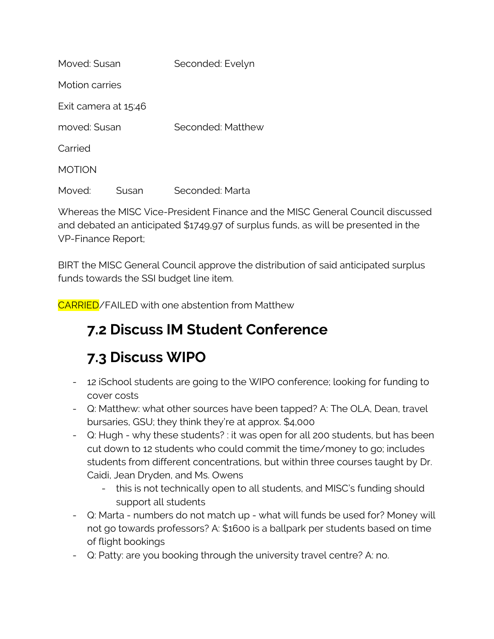| Moved: Susan         |       | Seconded: Evelyn  |
|----------------------|-------|-------------------|
| Motion carries       |       |                   |
| Exit camera at 15:46 |       |                   |
| moved: Susan         |       | Seconded: Matthew |
| Carried              |       |                   |
| <b>MOTION</b>        |       |                   |
| Moved:               | Susan | Seconded: Marta   |

Whereas the MISC Vice-President Finance and the MISC General Council discussed and debated an anticipated \$1749,97 of surplus funds, as will be presented in the VP-Finance Report;

BIRT the MISC General Council approve the distribution of said anticipated surplus funds towards the SSI budget line item.

CARRIED/FAILED with one abstention from Matthew

## **7.2 Discuss IM Student Conference**

# **7.3 Discuss WIPO**

- 12 iSchool students are going to the WIPO conference; looking for funding to cover costs
- Q: Matthew: what other sources have been tapped? A: The OLA, Dean, travel bursaries, GSU; they think they're at approx. \$4,000
- Q: Hugh why these students? : it was open for all 200 students, but has been cut down to 12 students who could commit the time/money to go; includes students from different concentrations, but within three courses taught by Dr. Caidi, Jean Dryden, and Ms. Owens
	- this is not technically open to all students, and MISC's funding should support all students
- Q: Marta numbers do not match up what will funds be used for? Money will not go towards professors? A: \$1600 is a ballpark per students based on time of flight bookings
- Q: Patty: are you booking through the university travel centre? A: no.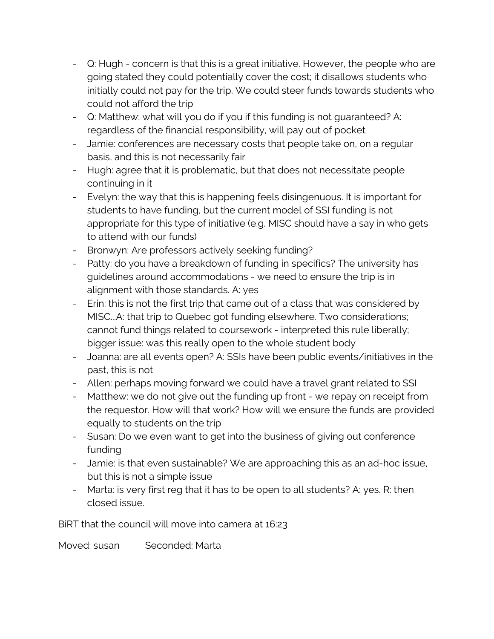- Q: Hugh concern is that this is a great initiative. However, the people who are going stated they could potentially cover the cost; it disallows students who initially could not pay for the trip. We could steer funds towards students who could not afford the trip
- Q: Matthew: what will you do if you if this funding is not guaranteed? A: regardless of the financial responsibility, will pay out of pocket
- Jamie: conferences are necessary costs that people take on, on a regular basis, and this is not necessarily fair
- Hugh: agree that it is problematic, but that does not necessitate people continuing in it
- Evelyn: the way that this is happening feels disingenuous. It is important for students to have funding, but the current model of SSI funding is not appropriate for this type of initiative (e.g. MISC should have a say in who gets to attend with our funds)
- Bronwyn: Are professors actively seeking funding?
- Patty: do you have a breakdown of funding in specifics? The university has guidelines around accommodations - we need to ensure the trip is in alignment with those standards. A: yes
- Erin: this is not the first trip that came out of a class that was considered by MISC...A: that trip to Quebec got funding elsewhere. Two considerations; cannot fund things related to coursework - interpreted this rule liberally; bigger issue: was this really open to the whole student body
- Joanna: are all events open? A: SSIs have been public events/initiatives in the past, this is not
- Allen: perhaps moving forward we could have a travel grant related to SSI
- Matthew: we do not give out the funding up front we repay on receipt from the requestor. How will that work? How will we ensure the funds are provided equally to students on the trip
- Susan: Do we even want to get into the business of giving out conference funding
- Jamie: is that even sustainable? We are approaching this as an ad-hoc issue, but this is not a simple issue
- Marta: is very first reg that it has to be open to all students? A: yes. R: then closed issue.

BiRT that the council will move into camera at 16:23

Moved: susan Seconded: Marta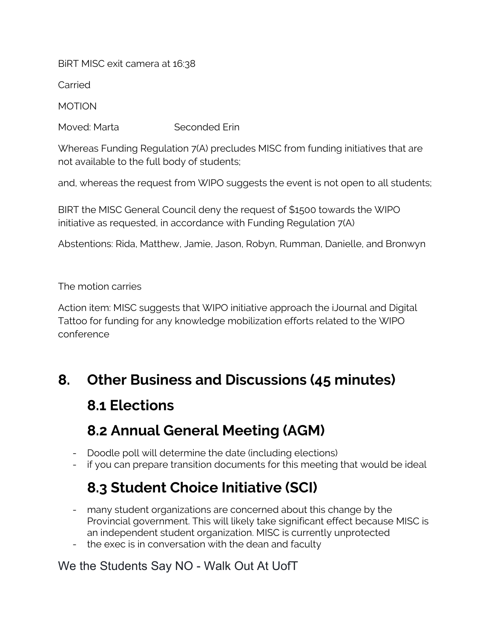BiRT MISC exit camera at 16:38

Carried

MOTION

Moved: Marta Seconded Erin

Whereas Funding Regulation 7(A) precludes MISC from funding initiatives that are not available to the full body of students;

and, whereas the request from WIPO suggests the event is not open to all students;

BIRT the MISC General Council deny the request of \$1500 towards the WIPO initiative as requested, in accordance with Funding Regulation 7(A)

Abstentions: Rida, Matthew, Jamie, Jason, Robyn, Rumman, Danielle, and Bronwyn

The motion carries

Action item: MISC suggests that WIPO initiative approach the iJournal and Digital Tattoo for funding for any knowledge mobilization efforts related to the WIPO conference

## **8. Other Business and Discussions (45 minutes)**

## **8.1 Elections**

## **8.2 Annual General Meeting (AGM)**

- Doodle poll will determine the date (including elections)
- if you can prepare transition documents for this meeting that would be ideal

## **8.3 Student Choice Initiative (SCI)**

- many student organizations are concerned about this change by the Provincial government. This will likely take significant effect because MISC is an independent student organization. MISC is currently unprotected
- the exec is in conversation with the dean and faculty

### We the Students Say NO - Walk Out At UofT